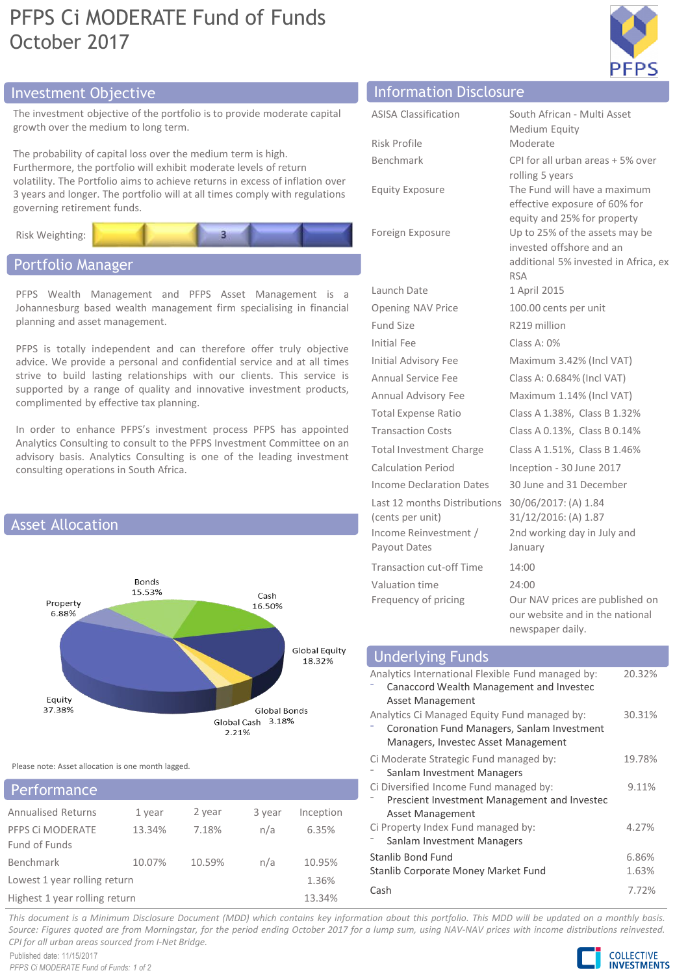# PFPS Ci MODERATE Fund of Funds October 2017



# Investment Objective Information Disclosure

The investment objective of the portfolio is to provide moderate capital growth over the medium to long term.

The probability of capital loss over the medium term is high. Furthermore, the portfolio will exhibit moderate levels of return volatility. The Portfolio aims to achieve returns in excess of inflation over 3 years and longer. The portfolio will at all times comply with regulations governing retirement funds.



# Portfolio Manager

PFPS Wealth Management and PFPS Asset Management is a Johannesburg based wealth management firm specialising in financial planning and asset management.

PFPS is totally independent and can therefore offer truly objective advice. We provide a personal and confidential service and at all times strive to build lasting relationships with our clients. This service is supported by a range of quality and innovative investment products, complimented by effective tax planning.

In order to enhance PFPS's investment process PFPS has appointed Analytics Consulting to consult to the PFPS Investment Committee on an advisory basis. Analytics Consulting is one of the leading investment consulting operations in South Africa.



Please note: Asset allocation is one month lagged.

| <b>Performance</b>                |        |        |        |           |
|-----------------------------------|--------|--------|--------|-----------|
| <b>Annualised Returns</b>         | 1 year | 2 year | 3 year | Inception |
| PFPS CI MODERATE<br>Fund of Funds | 13.34% | 7.18%  | n/a    | 6.35%     |
| Benchmark                         | 10.07% | 10.59% | n/a    | 10.95%    |
| Lowest 1 year rolling return      |        |        |        | 1.36%     |
| Highest 1 year rolling return     |        |        |        | 13.34%    |

| <b>ASISA Classification</b>                                                               | South African - Multi Asset                                                                                                                     |
|-------------------------------------------------------------------------------------------|-------------------------------------------------------------------------------------------------------------------------------------------------|
|                                                                                           | Medium Equity                                                                                                                                   |
| Risk Profile                                                                              | Moderate                                                                                                                                        |
| Benchmark                                                                                 | CPI for all urban areas + 5% over                                                                                                               |
| <b>Equity Exposure</b>                                                                    | rolling 5 years<br>The Fund will have a maximum<br>effective exposure of 60% for                                                                |
| Foreign Exposure                                                                          | equity and 25% for property<br>Up to 25% of the assets may be<br>invested offshore and an<br>additional 5% invested in Africa, ex<br><b>RSA</b> |
| Launch Date                                                                               | 1 April 2015                                                                                                                                    |
| Opening NAV Price                                                                         | 100.00 cents per unit                                                                                                                           |
| Fund Size                                                                                 | R <sub>219</sub> million                                                                                                                        |
| <b>Initial Fee</b>                                                                        | Class A: 0%                                                                                                                                     |
| <b>Initial Advisory Fee</b>                                                               | Maximum 3.42% (Incl VAT)                                                                                                                        |
| Annual Service Fee                                                                        | Class A: 0.684% (Incl VAT)                                                                                                                      |
| Annual Advisory Fee                                                                       | Maximum 1.14% (Incl VAT)                                                                                                                        |
| <b>Total Expense Ratio</b>                                                                | Class A 1.38%, Class B 1.32%                                                                                                                    |
| <b>Transaction Costs</b>                                                                  | Class A 0.13%, Class B 0.14%                                                                                                                    |
| <b>Total Investment Charge</b>                                                            | Class A 1.51%, Class B 1.46%                                                                                                                    |
| Calculation Period                                                                        | Inception - 30 June 2017                                                                                                                        |
| Income Declaration Dates                                                                  | 30 June and 31 December                                                                                                                         |
| Last 12 months Distributions<br>(cents per unit)<br>Income Reinvestment /<br>Payout Dates | 30/06/2017: (A) 1.84<br>31/12/2016: (A) 1.87<br>2nd working day in July and<br>January                                                          |
| Transaction cut-off Time                                                                  | 14:00                                                                                                                                           |
| Valuation time                                                                            | 24:00                                                                                                                                           |
| Frequency of pricing                                                                      | Our NAV prices are published on<br>our website and in the national<br>newspaper daily.                                                          |

| <b>Underlying Funds</b>                                                                                                            |                |
|------------------------------------------------------------------------------------------------------------------------------------|----------------|
| Analytics International Flexible Fund managed by:<br>Canaccord Wealth Management and Investec<br>Asset Management                  | 20.32%         |
| Analytics Ci Managed Equity Fund managed by:<br>Coronation Fund Managers, Sanlam Investment<br>Managers, Investec Asset Management | 30.31%         |
| Ci Moderate Strategic Fund managed by:<br>Sanlam Investment Managers                                                               | 19.78%         |
| Ci Diversified Income Fund managed by:<br>Prescient Investment Management and Investec<br>Asset Management                         | 9.11%          |
| Ci Property Index Fund managed by:<br>Sanlam Investment Managers                                                                   | 4.27%          |
| Stanlib Bond Fund<br>Stanlib Corporate Money Market Fund                                                                           | 6.86%<br>1.63% |
| Cash                                                                                                                               | 7.72%          |

This document is a Minimum Disclosure Document (MDD) which contains key information about this portfolio. This MDD will be updated on a monthly basis. Source: Figures quoted are from Morningstar, for the period ending October 2017 for a lump sum, using NAV-NAV prices with income distributions reinvested. *CPI for all urban areas sourced from I-Net Bridge.*

Published date: 11/15/2017 *PFPS Ci MODERATE Fund of Funds: 1 of 2*